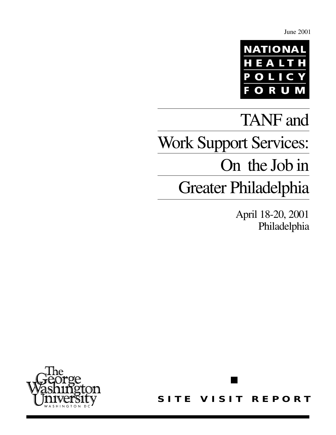June 2001



# TANF and Work Support Services: On the Job in Greater Philadelphia

April 18-20, 2001 Philadelphia



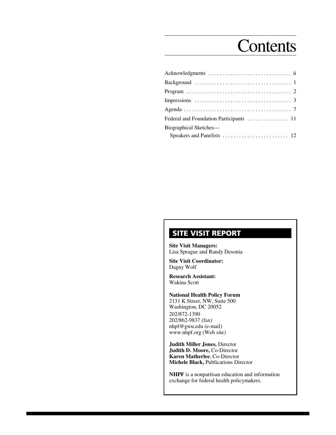# **Contents**

| Background $\ldots \ldots \ldots \ldots \ldots \ldots \ldots \ldots \ldots \ldots \ldots$ |  |
|-------------------------------------------------------------------------------------------|--|
|                                                                                           |  |
|                                                                                           |  |
|                                                                                           |  |
|                                                                                           |  |
| Biographical Sketches-                                                                    |  |
|                                                                                           |  |

# **SITE VISIT REPORT**

**Site Visit Managers:** Lisa Sprague and Randy Desonia

**Site Visit Coordinator:** Dagny Wolf

**Research Assistant:** Wakina Scott

**National Health Policy Forum** 2131 K Street, NW, Suite 500 Washington, DC 20052 202/872-1390 202/862-9837 (fax) nhpf@gwu.edu (e-mail) www.nhpf.org (Web site)

**Judith Miller Jones,** Director **Judith D. Moore,** Co-Director **Karen Matherlee**, Co-Director **Michele Black,** Publications Director

**NHPF** is a nonpartisan education and information exchange for federal health policymakers.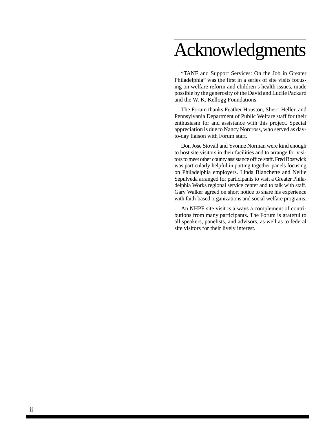# Acknowledgments

"TANF and Support Services: On the Job in Greater Philadelphia" was the first in a series of site visits focusing on welfare reform and children's health issues, made possible by the generosity of the David and Lucile Packard and the W. K. Kellogg Foundations.

The Forum thanks Feather Houston, Sherri Heller, and Pennsylvania Department of Public Welfare staff for their enthusiasm for and assistance with this project. Special appreciation is due to Nancy Norcross, who served as dayto-day liaison with Forum staff.

Don Jose Stovall and Yvonne Norman were kind enough to host site visitors in their facilities and to arrange for visitors to meet other county assistance office staff. Fred Bostwick was particularly helpful in putting together panels focusing on Philadelphia employers. Linda Blanchette and Nellie Sepulveda arranged for participants to visit a Greater Philadelphia Works regional service center and to talk with staff. Gary Walker agreed on short notice to share his experience with faith-based organizations and social welfare programs.

An NHPF site visit is always a complement of contributions from many participants. The Forum is grateful to all speakers, panelists, and advisors, as well as to federal site visitors for their lively interest.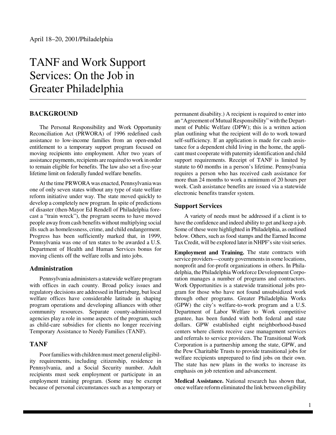# TANF and Work Support Services: On the Job in Greater Philadelphia

#### **BACKGROUND**

The Personal Responsibility and Work Opportunity Reconciliation Act (PRWORA) of 1996 redefined cash assistance to low-income families from an open-ended entitlement to a temporary support program focused on moving recipients into employment. After two years of assistance payments, recipients are required to work in order to remain eligible for benefits. The law also set a five-year lifetime limit on federally funded welfare benefits.

At the time PRWORA was enacted, Pennsylvania was one of only seven states without any type of state welfare reform initiative under way. The state moved quickly to develop a completely new program. In spite of predictions of disaster (then-Mayor Ed Rendell of Philadelphia forecast a "train wreck"), the program seems to have moved people away from cash benefits without multiplying social ills such as homelessness, crime, and child endangerment. Progress has been sufficiently marked that, in 1999, Pennsylvania was one of ten states to be awarded a U.S. Department of Health and Human Services bonus for moving clients off the welfare rolls and into jobs.

#### **Administration**

Pennsylvania administers a statewide welfare program with offices in each county. Broad policy issues and regulatory decisions are addressed in Harrisburg, but local welfare offices have considerable latitude in shaping program operations and developing alliances with other community resources. Separate county-administered agencies play a role in some aspects of the program, such as child-care subsidies for clients no longer receiving Temporary Assistance to Needy Families (TANF).

#### **TANF**

Poor families with children must meet general eligibility requirements, including citizenship, residence in Pennsylvania, and a Social Security number. Adult recipients must seek employment or participate in an employment training program. (Some may be exempt because of personal circumstances such as a temporary or permanent disability.) A recipient is required to enter into an "Agreement of Mutual Responsibility" with the Department of Public Welfare (DPW); this is a written action plan outlining what the recipient will do to work toward self-sufficiency. If an application is made for cash assistance for a dependent child living in the home, the applicant must cooperate with paternity identification and child support requirements. Receipt of TANF is limited by statute to 60 months in a person's lifetime. Pennsylvania requires a person who has received cash assistance for more than 24 months to work a minimum of 20 hours per week. Cash assistance benefits are issued via a statewide electronic benefits transfer system.

#### **Support Services**

A variety of needs must be addressed if a client is to have the confidence and indeed ability to get and keep a job. Some of these were highlighted in Philadelphia, as outlined below. Others, such as food stamps and the Earned Income Tax Credit, will be explored later in NHPF's site visit series.

**Employment and Training.** The state contracts with service providers—county governments in some locations, nonprofit and for-profit organizations in others. In Philadelphia, the Philadelphia Workforce Development Corporation manages a number of programs and contractors. Work Opportunities is a statewide transitional jobs program for those who have not found unsubsidized work through other programs. Greater Philadelphia Works (GPW) the city's welfare-to-work program and a U.S. Department of Labor Welfare to Work competitive grantee, has been funded with both federal and state dollars. GPW established eight neighborhood-based centers where clients receive case management services and referrals to service providers. The Transitional Work Corporation is a partnership among the state, GPW, and the Pew Charitable Trusts to provide transitional jobs for welfare recipients unprepared to find jobs on their own. The state has new plans in the works to increase its emphasis on job retention and advancement.

**Medical Assistance.** National research has shown that, once welfare reform eliminated the link between eligibility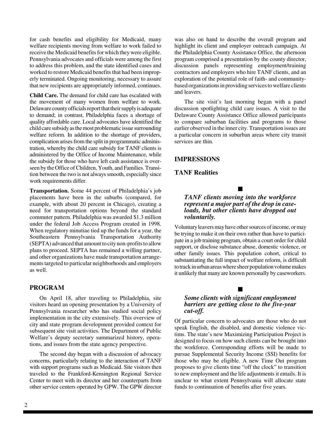for cash benefits and eligibility for Medicaid, many welfare recipients moving from welfare to work failed to receive the Medicaid benefits for which they were eligible. Pennsylvania advocates and officials were among the first to address this problem, and the state identified cases and worked to restore Medicaid benefits that had been improperly terminated. Ongoing monitoring, necessary to assure that new recipients are appropriately informed, continues.

**Child Care.** The demand for child care has escalated with the movement of many women from welfare to work. Delaware county officials report that their supply is adequate to demand; in contrast, Philadelphia faces a shortage of quality affordable care. Local advocates have identified the child care subsidy as the most problematic issue surrounding welfare reform. In addition to the shortage of providers, complication arises from the split in programmatic administration, whereby the child care subsidy for TANF clients is administered by the Office of Income Maintenance, while the subsidy for those who have left cash assistance is overseen by the Office of Children, Youth, and Families. Transition between the two is not always smooth, especially since work requirements differ.

**Transportation.** Some 44 percent of Philadelphia's job placements have been in the suburbs (compared, for example, with about 20 percent in Chicago), creating a need for transportation options beyond the standard commuter pattern. Philadelphia was awarded \$1.3 million under the federal Job Access Program created in 1998. When regulatory minutiae tied up the funds for a year, the Southeastern Pennsylvania Transportation Authority (SEPTA) advanced that amount to city non-profits to allow plans to proceed. SEPTA has remained a willing partner, and other organizations have made transportation arrangements targeted to particular neighborhoods and employers as well.

#### **PROGRAM**

On April 18, after traveling to Philadelphia, site visitors heard an opening presentation by a University of Pennsylvania researcher who has studied social policy implementation in the city extensively. This overview of city and state program development provided context for subsequent site visit activities. The Department of Public Welfare's deputy secretary summarized history, operations, and issues from the state agency perspective.

The second day began with a discussion of advocacy concerns, particularly relating to the interaction of TANF with support programs such as Medicaid. Site visitors then traveled to the Frankford-Kensington Regional Service Center to meet with its director and her counterparts from other service centers operated by GPW. The GPW director

was also on hand to describe the overall program and highlight its client and employer outreach campaign. At the Philadelphia County Assistance Office, the afternoon program comprised a presentation by the county director, discussion panels representing employment/training contractors and employers who hire TANF clients, and an exploration of the potential role of faith- and communitybased organizations in providing services to welfare clients and leavers.

The site visit's last morning began with a panel discussion spotlighting child care issues. A visit to the Delaware County Assistance Office allowed participants to compare suburban facilities and programs to those earlier observed in the inner city. Transportation issues are a particular concern in suburban areas where city transit services are thin.

#### **IMPRESSIONS**

#### **TANF Realities**

*TANF clients moving into the workforce represent a major part of the drop in caseloads, but other clients have dropped out voluntarily.*

 $\blacksquare$ 

Voluntary leavers may have other sources of income, or may be trying to make it on their own rather than have to participate in a job training program, obtain a court order for child support, or disclose substance abuse, domestic violence, or other family issues. This population cohort, critical to substantiating the full impact of welfare reform, is difficult to track in urban areas where sheer population volume makes it unlikely that many are known personally by caseworkers.

#### *Some clients with significant employment barriers are getting close to the five-year cut-off.*

 $\blacksquare$ 

Of particular concern to advocates are those who do not speak English, the disabled, and domestic violence victims. The state's new Maximizing Participation Project is designed to focus on how such clients can be brought into the workforce. Corresponding efforts will be made to pursue Supplemental Security Income (SSI) benefits for those who may be eligible. A new Time Out program proposes to give clients time "off the clock" to transition to new employment and the life adjustments it entails. It is unclear to what extent Pennsylvania will allocate state funds to continuation of benefits after five years.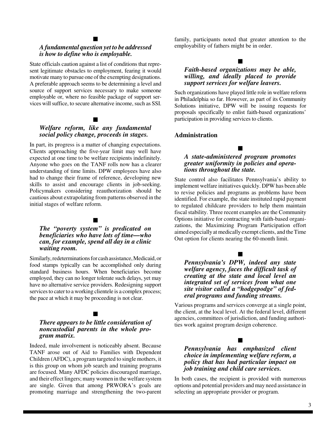# $\blacksquare$

#### *A fundamental question yet to be addressed is how to define who is employable.*

State officials caution against a list of conditions that represent legitimate obstacles to employment, fearing it would motivate many to pursue one of the exempting designations. A preferable approach seems to be determining a level and source of support services necessary to make someone employable or, where no feasible package of support services will suffice, to secure alternative income, such as SSI.

### $\blacksquare$

#### *Welfare reform, like any fundamental social policy change, proceeds in stages.*

In part, its progress is a matter of changing expectations. Clients approaching the five-year limit may well have expected at one time to be welfare recipients indefinitely. Anyone who goes on the TANF rolls now has a clearer understanding of time limits. DPW employees have also had to change their frame of reference, developing new skills to assist and encourage clients in job-seeking. Policymakers considering reauthorization should be cautious about extrapolating from patterns observed in the initial stages of welfare reform.

### $\blacksquare$

#### *The "poverty system" is predicated on beneficiaries who have lots of time—who can, for example, spend all day in a clinic waiting room.*

Similarly, redeterminations for cash assistance, Medicaid, or food stamps typically can be accomplished only during standard business hours. When beneficiaries become employed, they can no longer tolerate such delays, yet may have no alternative service providers. Redesigning support services to cater to a working clientele is a complex process; the pace at which it may be proceeding is not clear.

#### $\blacksquare$

#### *There appears to be little consideration of noncustodial parents in the whole program matrix.*

Indeed, male involvement is noticeably absent. Because TANF arose out of Aid to Families with Dependent Children (AFDC), a program targeted to single mothers, it is this group on whom job search and training programs are focused. Many AFDC policies discouraged marriage, and their effect lingers; many women in the welfare system are single. Given that among PRWORA's goals are promoting marriage and strengthening the two-parent

family, participants noted that greater attention to the employability of fathers might be in order.

# $\blacksquare$

#### *Faith-based organizations may be able, willing, and ideally placed to provide support services for welfare leavers.*

Such organizations have played little role in welfare reform in Philadelphia so far. However, as part of its Community Solutions initiative, DPW will be issuing requests for proposals specifically to enlist faith-based organizations' participation in providing services to clients.

#### **Administration**

#### *A state-administered program promotes greater uniformity in policies and operations throughout the state.*

 $\blacksquare$ 

State control also facilitates Pennsylvania's ability to implement welfare initiatives quickly. DPW has been able to revise policies and programs as problems have been identified. For example, the state instituted rapid payment to regulated childcare providers to help them maintain fiscal stability. Three recent examples are the Community Options initiative for contracting with faith-based organizations, the Maximizing Program Participation effort aimed especially at medically exempt clients, and the Time Out option for clients nearing the 60-month limit.

# $\blacksquare$

#### *Pennsylvania's DPW, indeed any state welfare agency, faces the difficult task of creating at the state and local level an integrated set of services from what one site visitor called a "hodgepodge" of federal programs and funding streams.*

Various programs and services converge at a single point, the client, at the local level. At the federal level, different agencies, committees of jurisdiction, and funding authorities work against program design coherence.

#### $\blacksquare$

#### *Pennsylvania has emphasized client choice in implementing welfare reform, a policy that has had particular impact on job training and child care services.*

In both cases, the recipient is provided with numerous options and potential providers and may need assistance in selecting an appropriate provider or program.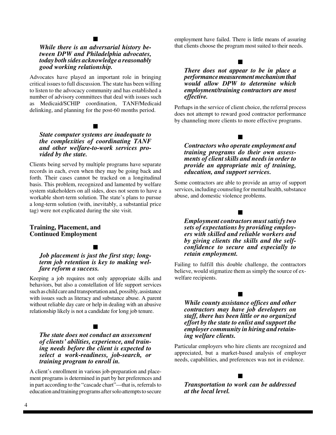# $\blacksquare$

#### *While there is an adversarial history between DPW and Philadelphia advocates, today both sides acknowledge a reasonably good working relationship.*

Advocates have played an important role in bringing critical issues to full discussion. The state has been willing to listen to the advocacy community and has established a number of advisory committees that deal with issues such as Medicaid/SCHIP coordination, TANF/Medicaid delinking, and planning for the post-60 months period.

## $\blacksquare$

#### *State computer systems are inadequate to the complexities of coordinating TANF and other welfare-to-work services provided by the state.*

Clients being served by multiple programs have separate records in each, even when they may be going back and forth. Their cases cannot be tracked on a longitudinal basis. This problem, recognized and lamented by welfare system stakeholders on all sides, does not seem to have a workable short-term solution. The state's plans to pursue a long-term solution (with, inevitably, a substantial price tag) were not explicated during the site visit.

#### **Training, Placement, and Continued Employment**

# $\blacksquare$

#### *Job placement is just the first step; longterm job retention is key to making welfare reform a success.*

Keeping a job requires not only appropriate skills and behaviors, but also a constellation of life support services such as child care and transportation and, possibly, assistance with issues such as literacy and substance abuse. A parent without reliable day care or help in dealing with an abusive relationship likely is not a candidate for long job tenure.

## $\blacksquare$

#### *The state does not conduct an assessment of clients' abilities, experience, and training needs before the client is expected to select a work-readiness, job-search, or training program to enroll in.*

A client's enrollment in various job-preparation and placement programs is determined in part by her preferences and in part according to the "cascade chart"—that is, referrals to education and training programs after solo attempts to secure employment have failed. There is little means of assuring that clients choose the program most suited to their needs.

## $\blacksquare$

#### *There does not appear to be in place a performance measurement mechanism that would allow DPW to determine which employment/training contractors are most effective.*

Perhaps in the service of client choice, the referral process does not attempt to reward good contractor performance by channeling more clients to more effective programs.

 $\blacksquare$ 

#### *Contractors who operate employment and training programs do their own assessments of client skills and needs in order to provide an appropriate mix of training, education, and support services.*

Some contractors are able to provide an array of support services, including counseling for mental health, substance abuse, and domestic violence problems.

#### $\blacksquare$

*Employment contractors must satisfy two sets of expectations by providing employers with skilled and reliable workers and by giving clients the skills and the selfconfidence to secure and especially to retain employment.*

Failing to fulfill this double challenge, the contractors believe, would stigmatize them as simply the source of exwelfare recipients.

 $\blacksquare$ 

#### *While county assistance offices and other contractors may have job developers on staff, there has been little or no organized effort by the state to enlist and support the employer community in hiring and retaining welfare clients.*

Particular employers who hire clients are recognized and appreciated, but a market-based analysis of employer needs, capabilities, and preferences was not in evidence.

*Transportation to work can be addressed at the local level.*

 $\blacksquare$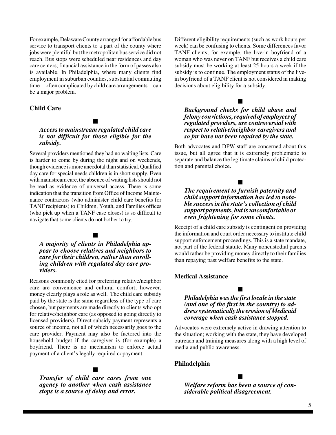For example, Delaware County arranged for affordable bus service to transport clients to a part of the county where jobs were plentiful but the metropolitan bus service did not reach. Bus stops were scheduled near residences and day care centers; financial assistance in the form of passes also is available. In Philadelphia, where many clients find employment in suburban counties, substantial commuting time—often complicated by child care arrangements—can be a major problem.

#### **Child Care**

# $\blacksquare$

#### *Access to mainstream regulated child care is not difficult for those eligible for the subsidy.*

Several providers mentioned they had no waiting lists. Care is harder to come by during the night and on weekends, though evidence is more anecdotal than statistical. Qualified day care for special needs children is in short supply. Even with mainstream care, the absence of waiting lists should not be read as evidence of universal access. There is some indication that the transition from Office of Income Maintenance contractors (who administer child care benefits for TANF recipients) to Children, Youth, and Families offices (who pick up when a TANF case closes) is so difficult to navigate that some clients do not bother to try.

#### $\blacksquare$

*A majority of clients in Philadelphia appear to choose relatives and neighbors to care for their children, rather than enrolling children with regulated day care providers.*

Reasons commonly cited for preferring relative/neighbor care are convenience and cultural comfort; however, money clearly plays a role as well. The child care subsidy paid by the state is the same regardless of the type of care chosen, but payments are made directly to clients who opt for relative/neighbor care (as opposed to going directly to licensed providers). Direct subsidy payment represents a source of income, not all of which necessarily goes to the care provider. Payment may also be factored into the household budget if the caregiver is (for example) a boyfriend. There is no mechanism to enforce actual payment of a client's legally required copayment.

*Transfer of child care cases from one agency to another when cash assistance stops is a source of delay and error.*

 $\blacksquare$ 

Different eligibility requirements (such as work hours per week) can be confusing to clients. Some differences favor TANF clients; for example, the live-in boyfriend of a woman who was never on TANF but receives a child care subsidy must be working at least 25 hours a week if the subsidy is to continue. The employment status of the livein boyfriend of a TANF client is not considered in making decisions about eligibility for a subsidy.

#### *Background checks for child abuse and felony convictions, required of employees of regulated providers, are controversial with respect to relative/neighbor caregivers and so far have not been required by the state.*

 $\blacksquare$ 

Both advocates and DPW staff are concerned about this issue, but all agree that it is extremely problematic to separate and balance the legitimate claims of child protection and parental choice.

#### *The requirement to furnish paternity and child support information has led to notable success in the state's collection of child support payments, but is uncomfortable or even frightening for some clients.*

 $\blacksquare$ 

Receipt of a child care subsidy is contingent on providing the information and court order necessary to institute child support enforcement proceedings. This is a state mandate, not part of the federal statute. Many noncustodial parents would rather be providing money directly to their families than repaying past welfare benefits to the state.

#### **Medical Assistance**

#### *Philadelphia was the first locale in the state (and one of the first in the country) to address systematically the erosion of Medicaid coverage when cash assistance stopped.*

 $\blacksquare$ 

Advocates were extremely active in drawing attention to the situation; working with the state, they have developed outreach and training measures along with a high level of media and public awareness.

#### **Philadelphia**

*Welfare reform has been a source of considerable political disagreement.*

 $\blacksquare$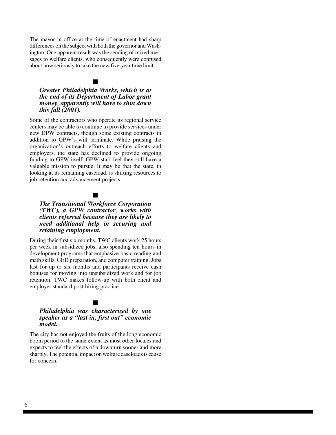The mayor in office at the time of enactment had sharp differences on the subject with both the governor and Washington. One apparent result was the sending of mixed messages to welfare clients, who consequently were confused about how seriously to take the new five-year time limit.

# $\blacksquare$

#### *Greater Philadelphia Works, which is at the end of its Department of Labor grant money, apparently will have to shut down this fall (2001).*

Some of the contractors who operate its regional service centers may be able to continue to provide services under new DPW contracts, though some existing contracts in addition to GPW's will terminate. While praising the organization's outreach efforts to welfare clients and employers, the state has declined to provide ongoing funding to GPW itself. GPW staff feel they still have a valuable mission to pursue. It may be that the state, in looking at its remaining caseload, is shifting resources to job retention and advancement projects.

### $\blacksquare$

#### *The Transitional Workforce Corporation (TWC), a GPW contractor, works with clients referred because they are likely to need additional help in securing and retaining employment.*

During their first six months, TWC clients work 25 hours per week in subsidized jobs, also spending ten hours in development programs that emphasize basic reading and math skills, GED preparation, and computer training. Jobs last for up to six months and participants receive cash bonuses for moving into unsubsidized work and for job retention. TWC makes follow-up with both client and employer standard post-hiring practice.

#### $\blacksquare$

#### *Philadelphia was characterized by one speaker as a "last in, first out" economic model.*

The city has not enjoyed the fruits of the long economic boom period to the same extent as most other locales and expects to feel the effects of a downturn sooner and more sharply. The potential impact on welfare caseloads is cause for concern.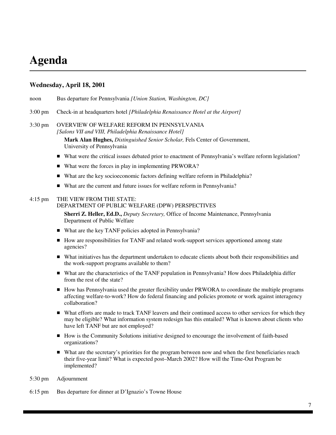# **Agenda**

#### **Wednesday, April 18, 2001**

- noon Bus departure for Pennsylvania *[Union Station, Washington, DC]*
- 3:00 pm Check-in at headquarters hotel *[Philadelphia Renaissance Hotel at the Airport]*

#### 3:30 pm OVERVIEW OF WELFARE REFORM IN PENNSYLVANIA *[Salons VII and VIII, Philadelphia Renaissance Hotel]*

**Mark Alan Hughes,** *Distinguished Senior Scholar,* Fels Center of Government, University of Pennsylvania

- What were the critical issues debated prior to enactment of Pennsylvania's welfare reform legislation?
- What were the forces in play in implementing PRWORA?
- What are the key socioeconomic factors defining welfare reform in Philadelphia?
- What are the current and future issues for welfare reform in Pennsylvania?

#### 4:15 pm THE VIEW FROM THE STATE:

#### DEPARTMENT OF PUBLIC WELFARE (DPW) PERSPECTIVES

**Sherri Z. Heller, Ed.D.,** *Deputy Secretary,* Office of Income Maintenance, Pennsylvania Department of Public Welfare

- What are the key TANF policies adopted in Pennsylvania?
- How are responsibilities for TANF and related work-support services apportioned among state agencies?
- What initiatives has the department undertaken to educate clients about both their responsibilities and the work-support programs available to them?
- What are the characteristics of the TANF population in Pennsylvania? How does Philadelphia differ from the rest of the state?
- How has Pennsylvania used the greater flexibility under PRWORA to coordinate the multiple programs affecting welfare-to-work? How do federal financing and policies promote or work against interagency collaboration?
- What efforts are made to track TANF leavers and their continued access to other services for which they may be eligible? What information system redesign has this entailed? What is known about clients who have left TANF but are not employed?
- How is the Community Solutions initiative designed to encourage the involvement of faith-based organizations?
- What are the secretary's priorities for the program between now and when the first beneficiaries reach their five-year limit? What is expected post–March 2002? How will the Time-Out Program be implemented?
- 5:30 pm Adjournment
- 6:15 pm Bus departure for dinner at D'Ignazio's Towne House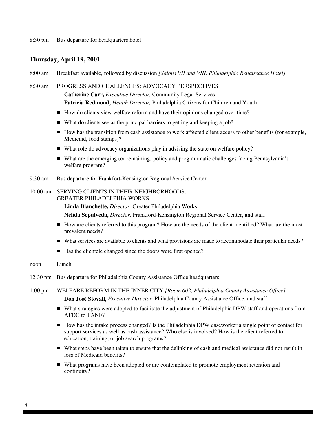#### **Thursday, April 19, 2001**

8:00 am Breakfast available, followed by discussion *[Salons VII and VIII, Philadelphia Renaissance Hotel]*

#### 8:30 am PROGRESS AND CHALLENGES: ADVOCACY PERSPECTIVES

**Catherine Carr,** *Executive Director,* Community Legal Services **Patricia Redmond,** *Health Director,* Philadelphia Citizens for Children and Youth

- How do clients view welfare reform and have their opinions changed over time?
- What do clients see as the principal barriers to getting and keeping a job?
- How has the transition from cash assistance to work affected client access to other benefits (for example, Medicaid, food stamps)?
- What role do advocacy organizations play in advising the state on welfare policy?
- What are the emerging (or remaining) policy and programmatic challenges facing Pennsylvania's welfare program?
- 9:30 am Bus departure for Frankfort-Kensington Regional Service Center

#### 10:00 am SERVING CLIENTS IN THEIR NEIGHBORHOODS: GREATER PHILADELPHIA WORKS

**Linda Blanchette,** *Director,* Greater Philadelphia Works

**Nelida Sepulveda,** *Director,* Frankford-Kensington Regional Service Center, and staff

- How are clients referred to this program? How are the needs of the client identified? What are the most prevalent needs?
- What services are available to clients and what provisions are made to accommodate their particular needs?
- Has the clientele changed since the doors were first opened?

#### noon Lunch

- 12:30 pm Bus departure for Philadelphia County Assistance Office headquarters
- 1:00 pm WELFARE REFORM IN THE INNER CITY *[Room 602, Philadelphia County Assistance Office]* **Don José Stovall,** *Executive Director,* Philadelphia County Assistance Office, and staff
	- What strategies were adopted to facilitate the adjustment of Philadelphia DPW staff and operations from AFDC to TANF?
	- How has the intake process changed? Is the Philadelphia DPW caseworker a single point of contact for support services as well as cash assistance? Who else is involved? How is the client referred to education, training, or job search programs?
	- What steps have been taken to ensure that the delinking of cash and medical assistance did not result in loss of Medicaid benefits?
	- What programs have been adopted or are contemplated to promote employment retention and continuity?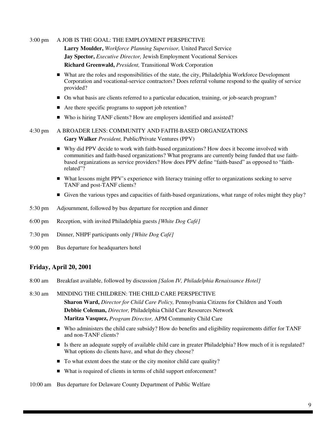3:00 pm A JOB IS THE GOAL: THE EMPLOYMENT PERSPECTIVE

**Larry Moulder,** *Workforce Planning Supervisor,* United Parcel Service **Jay Spector,** *Executive Director,* Jewish Employment Vocational Services **Richard Greenwald,** *President,* Transitional Work Corporation

- What are the roles and responsibilities of the state, the city, Philadelphia Workforce Development Corporation and vocational-service contractors? Does referral volume respond to the quality of service provided?
- On what basis are clients referred to a particular education, training, or job-search program?
- Are there specific programs to support job retention?
- Who is hiring TANF clients? How are employers identified and assisted?

4:30 pm A BROADER LENS: COMMUNITY AND FAITH-BASED ORGANIZATIONS **Gary Walker** *President,* Public/Private Ventures (PPV)

- Why did PPV decide to work with faith-based organizations? How does it become involved with communities and faith-based organizations? What programs are currently being funded that use faithbased organizations as service providers? How does PPV define "faith-based" as opposed to "faithrelated"?
- What lessons might PPV's experience with literacy training offer to organizations seeking to serve TANF and post-TANF clients?
- Given the various types and capacities of faith-based organizations, what range of roles might they play?
- 5:30 pm Adjournment, followed by bus departure for reception and dinner
- 6:00 pm Reception, with invited Philadelphia guests *[White Dog Café]*
- 7:30 pm Dinner, NHPF participants only *[White Dog Café]*
- 9:00 pm Bus departure for headquarters hotel

#### **Friday, April 20, 2001**

8:00 am Breakfast available, followed by discussion *[Salon IV, Philadelphia Renaissance Hotel]*

8:30 am MINDING THE CHILDREN: THE CHILD CARE PERSPECTIVE **Sharon Ward,** *Director for Child Care Policy,* Pennsylvania Citizens for Children and Youth **Debbie Coleman,** *Director,* Philadelphia Child Care Resources Network **Maritza Vasquez,** *Program Director,* APM Community Child Care

- Who administers the child care subsidy? How do benefits and eligibility requirements differ for TANF and non-TANF clients?
- Is there an adequate supply of available child care in greater Philadelphia? How much of it is regulated? What options do clients have, and what do they choose?
- To what extent does the state or the city monitor child care quality?
- What is required of clients in terms of child support enforcement?

10:00 am Bus departure for Delaware County Department of Public Welfare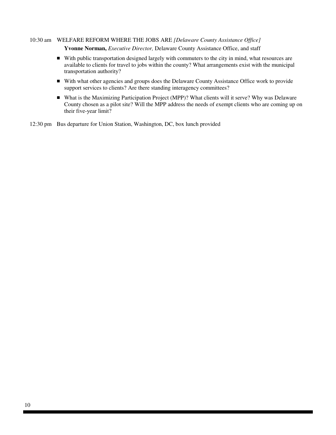#### 10:30 am WELFARE REFORM WHERE THE JOBS ARE *[Delaware County Assistance Office]*

**Yvonne Norman,** *Executive Director,* Delaware County Assistance Office, and staff

- With public transportation designed largely with commuters to the city in mind, what resources are available to clients for travel to jobs within the county? What arrangements exist with the municipal transportation authority?
- With what other agencies and groups does the Delaware County Assistance Office work to provide support services to clients? Are there standing interagency committees?
- What is the Maximizing Participation Project (MPP)? What clients will it serve? Why was Delaware County chosen as a pilot site? Will the MPP address the needs of exempt clients who are coming up on their five-year limit?

12:30 pm Bus departure for Union Station, Washington, DC, box lunch provided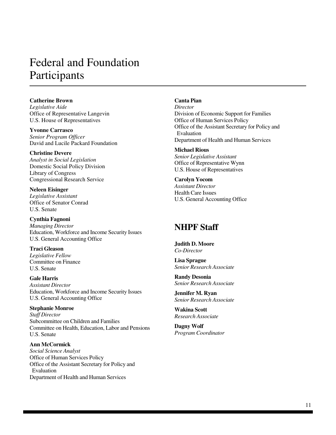# Federal and Foundation Participants

**Catherine Brown** *Legislative Aide* Office of Representative Langevin U.S. House of Representatives

**Yvonne Carrasco** *Senior Program Officer* David and Lucile Packard Foundation

**Christine Devere** *Analyst in Social Legislation* Domestic Social Policy Division Library of Congress Congressional Research Service

**Neleen Eisinger** *Legislative Assistant* Office of Senator Conrad U.S. Senate

**Cynthia Fagnoni** *Managing Director* Education, Workforce and Income Security Issues U.S. General Accounting Office

**Traci Gleason** *Legislative Fellow* Committee on Finance U.S. Senate

**Gale Harris** *Assistant Director* Education, Workforce and Income Security Issues U.S. General Accounting Office

**Stephanie Monroe** *Staff Director* Subcommittee on Children and Families Committee on Health, Education, Labor and Pensions U.S. Senate

**Ann McCormick**

*Social Science Analyst* Office of Human Services Policy Office of the Assistant Secretary for Policy and Evaluation Department of Health and Human Services

#### **Canta Pian**

*Director* Division of Economic Support for Families Office of Human Services Policy Office of the Assistant Secretary for Policy and Evaluation Department of Health and Human Services

**Michael Rious** *Senior Legislative Assistant* Office of Representative Wynn U.S. House of Representatives

**Carolyn Yocom** *Assistant Director* Health Care Issues U.S. General Accounting Office

# **NHPF Staff**

**Judith D. Moore** *Co-Director*

**Lisa Sprague** *Senior Research Associate*

**Randy Desonia** *Senior Research Associate*

**Jennifer M. Ryan** *Senior Research Associate*

**Wakina Scott** *Research Associate*

**Dagny Wolf** *Program Coordinator*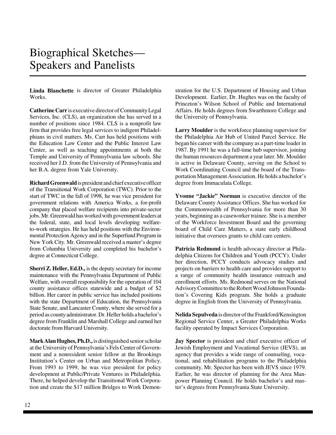# Biographical Sketches— Speakers and Panelists

**Linda Blanchette** is director of Greater Philadelphia Works.

**Catherine Carr** is executive director of Community Legal Services, Inc. (CLS), an organization she has served in a number of positions since 1984. CLS is a nonprofit law firm that provides free legal services to indigent Philadelphians in civil matters. Ms. Carr has held positions with the Education Law Center and the Public Interest Law Center, as well as teaching appointments at both the Temple and University of Pennsylvania law schools. She received her J.D. from the University of Pennsylvania and her B.A. degree from Yale University.

**Richard Greenwald** is president and chief executive officer of the Transitional Work Corporation (TWC). Prior to the start of TWC in the fall of 1998, he was vice president for government relations with America Works, a for-profit company that placed welfare recipients into private-sector jobs. Mr. Greenwald has worked with government leaders at the federal, state, and local levels developing welfareto-work strategies. He has held positions with the Environmental Protection Agency and in the Superfund Program in New York City. Mr. Greenwald received a master's degree from Columbia University and completed his bachelor's degree at Connecticut College.

**Sherri Z. Heller, Ed.D.,** is the deputy secretary for income maintenance with the Pennsylvania Department of Public Welfare, with overall responsibility for the operation of 104 county assistance offices statewide and a budget of \$2 billion. Her career in public service has included positions with the state Department of Education, the Pennsylvania State Senate, and Lancaster County, where she served for a period as county administrator. Dr. Heller holds a bachelor's degree from Franklin and Marshall College and earned her doctorate from Harvard University.

**Mark Alan Hughes, Ph.D.,** is distinguished senior scholar at the University of Pennsylvania's Fels Center of Government and a nonresident senior fellow at the Brookings Institution's Center on Urban and Metropolitan Policy. From 1993 to 1999, he was vice president for policy development at Public/Private Ventures in Philadelphia. There, he helped develop the Transitional Work Corporation and create the \$17 million Bridges to Work Demonstration for the U.S. Department of Housing and Urban Development. Earlier, Dr. Hughes was on the faculty of Princeton's Wilson School of Public and International Affairs. He holds degrees from Swarthmore College and the University of Pennsylvania.

**Larry Moulder** is the workforce planning supervisor for the Philadelphia Air Hub of United Parcel Service. He began his career with the company as a part-time loader in 1987. By 1991 he was a full-time hub supervisor, joining the human resources department a year later. Mr. Moulder is active in Delaware County, serving on the School to Work Coordinating Council and the board of the Transportation Management Association. He holds a bachelor's degree from Immaculata College.

**Yvonne "Jackie" Norman** is executive director of the Delaware County Assistance Offices. She has worked for the Commonwealth of Pennsylvania for more than 30 years, beginning as a caseworker trainee. She is a member of the Workforce Investment Board and the governing board of Child Care Matters, a state early childhood initiative that oversees grants to child care centers.

**Patricia Redmond** is health advocacy director at Philadelphia Citizens for Children and Youth (PCCY). Under her direction, PCCY conducts advocacy studies and projects on barriers to health care and provides support to a range of community health insurance outreach and enrollment efforts. Ms. Redmond serves on the National Advisory Committee to the Robert Wood Johnson Foundation's Covering Kids program. She holds a graduate degree in English from the University of Pennsylvania.

**Nelida Sepulveda** is director of the Frankford/Kensington Regional Service Center, a Greater Philadelphia Works facility operated by Impact Services Corporation.

**Jay Spector** is president and chief executive officer of Jewish Employment and Vocational Service (JEVS), an agency that provides a wide range of counseling, vocational, and rehabilitation programs to the Philadelphia community. Mr. Spector has been with JEVS since 1979. Earlier, he was director of planning for the Area Manpower Planning Council. He holds bachelor's and master's degrees from Pennsylvania State University.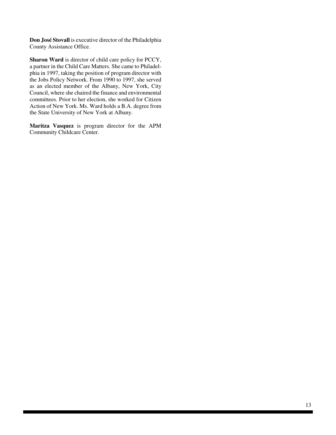**Don José Stovall** is executive director of the Philadelphia County Assistance Office.

**Sharon Ward** is director of child care policy for PCCY, a partner in the Child Care Matters. She came to Philadelphia in 1997, taking the position of program director with the Jobs Policy Network. From 1990 to 1997, she served as an elected member of the Albany, New York, City Council, where she chaired the finance and environmental committees. Prior to her election, she worked for Citizen Action of New York. Ms. Ward holds a B.A. degree from the State University of New York at Albany.

**Maritza Vasquez** is program director for the APM Community Childcare Center.